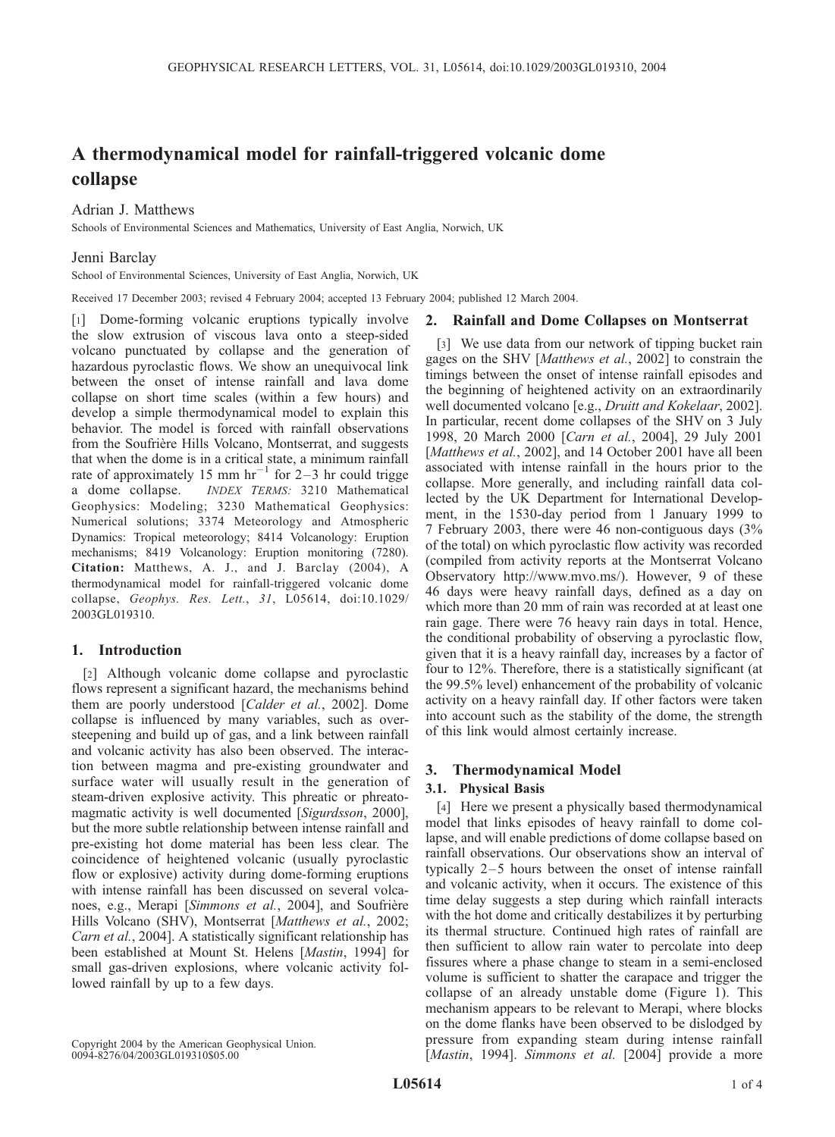# A thermodynamical model for rainfall-triggered volcanic dome collapse

## Adrian J. Matthews

Schools of Environmental Sciences and Mathematics, University of East Anglia, Norwich, UK

## Jenni Barclay

School of Environmental Sciences, University of East Anglia, Norwich, UK

Received 17 December 2003; revised 4 February 2004; accepted 13 February 2004; published 12 March 2004.

[1] Dome-forming volcanic eruptions typically involve the slow extrusion of viscous lava onto a steep-sided volcano punctuated by collapse and the generation of hazardous pyroclastic flows. We show an unequivocal link between the onset of intense rainfall and lava dome collapse on short time scales (within a few hours) and develop a simple thermodynamical model to explain this behavior. The model is forced with rainfall observations from the Soufrière Hills Volcano, Montserrat, and suggests that when the dome is in a critical state, a minimum rainfall rate of approximately 15 mm  $hr^{-1}$  for 2-3 hr could trigge a dome collapse. INDEX TERMS: 3210 Mathematical Geophysics: Modeling; 3230 Mathematical Geophysics: Numerical solutions; 3374 Meteorology and Atmospheric Dynamics: Tropical meteorology; 8414 Volcanology: Eruption mechanisms; 8419 Volcanology: Eruption monitoring (7280). Citation: Matthews, A. J., and J. Barclay (2004), A thermodynamical model for rainfall-triggered volcanic dome collapse, Geophys. Res. Lett., 31, L05614, doi:10.1029/ 2003GL019310.

## 1. Introduction

[2] Although volcanic dome collapse and pyroclastic flows represent a significant hazard, the mechanisms behind them are poorly understood [Calder et al., 2002]. Dome collapse is influenced by many variables, such as oversteepening and build up of gas, and a link between rainfall and volcanic activity has also been observed. The interaction between magma and pre-existing groundwater and surface water will usually result in the generation of steam-driven explosive activity. This phreatic or phreatomagmatic activity is well documented [Sigurdsson, 2000], but the more subtle relationship between intense rainfall and pre-existing hot dome material has been less clear. The coincidence of heightened volcanic (usually pyroclastic flow or explosive) activity during dome-forming eruptions with intense rainfall has been discussed on several volcanoes, e.g., Merapi [Simmons et al., 2004], and Soufrière Hills Volcano (SHV), Montserrat [Matthews et al., 2002; Carn et al., 2004]. A statistically significant relationship has been established at Mount St. Helens [Mastin, 1994] for small gas-driven explosions, where volcanic activity followed rainfall by up to a few days.

Copyright 2004 by the American Geophysical Union. 0094-8276/04/2003GL019310\$05.00

### 2. Rainfall and Dome Collapses on Montserrat

[3] We use data from our network of tipping bucket rain gages on the SHV [Matthews et al., 2002] to constrain the timings between the onset of intense rainfall episodes and the beginning of heightened activity on an extraordinarily well documented volcano [e.g., Druitt and Kokelaar, 2002]. In particular, recent dome collapses of the SHV on 3 July 1998, 20 March 2000 [Carn et al., 2004], 29 July 2001 [Matthews et al., 2002], and 14 October 2001 have all been associated with intense rainfall in the hours prior to the collapse. More generally, and including rainfall data collected by the UK Department for International Development, in the 1530-day period from 1 January 1999 to 7 February 2003, there were 46 non-contiguous days (3% of the total) on which pyroclastic flow activity was recorded (compiled from activity reports at the Montserrat Volcano Observatory http://www.mvo.ms/). However, 9 of these 46 days were heavy rainfall days, defined as a day on which more than 20 mm of rain was recorded at at least one rain gage. There were 76 heavy rain days in total. Hence, the conditional probability of observing a pyroclastic flow, given that it is a heavy rainfall day, increases by a factor of four to 12%. Therefore, there is a statistically significant (at the 99.5% level) enhancement of the probability of volcanic activity on a heavy rainfall day. If other factors were taken into account such as the stability of the dome, the strength of this link would almost certainly increase.

## 3. Thermodynamical Model

### 3.1. Physical Basis

[4] Here we present a physically based thermodynamical model that links episodes of heavy rainfall to dome collapse, and will enable predictions of dome collapse based on rainfall observations. Our observations show an interval of typically 2–5 hours between the onset of intense rainfall and volcanic activity, when it occurs. The existence of this time delay suggests a step during which rainfall interacts with the hot dome and critically destabilizes it by perturbing its thermal structure. Continued high rates of rainfall are then sufficient to allow rain water to percolate into deep fissures where a phase change to steam in a semi-enclosed volume is sufficient to shatter the carapace and trigger the collapse of an already unstable dome (Figure 1). This mechanism appears to be relevant to Merapi, where blocks on the dome flanks have been observed to be dislodged by pressure from expanding steam during intense rainfall [Mastin, 1994]. Simmons et al. [2004] provide a more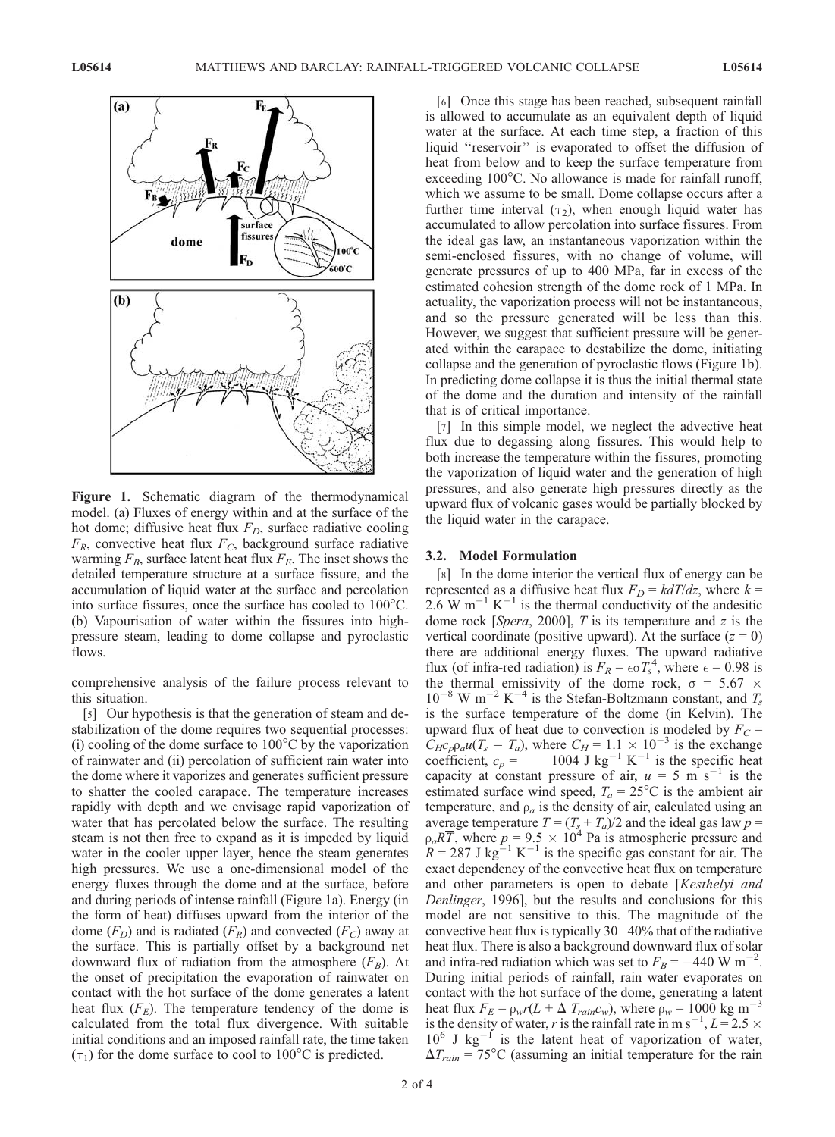

Figure 1. Schematic diagram of the thermodynamical model. (a) Fluxes of energy within and at the surface of the hot dome; diffusive heat flux  $F_D$ , surface radiative cooling  $F_R$ , convective heat flux  $F_C$ , background surface radiative warming  $F_B$ , surface latent heat flux  $F_E$ . The inset shows the detailed temperature structure at a surface fissure, and the accumulation of liquid water at the surface and percolation into surface fissures, once the surface has cooled to  $100^{\circ}$ C. (b) Vapourisation of water within the fissures into highpressure steam, leading to dome collapse and pyroclastic flows.

comprehensive analysis of the failure process relevant to this situation.

[5] Our hypothesis is that the generation of steam and destabilization of the dome requires two sequential processes: (i) cooling of the dome surface to  $100^{\circ}$ C by the vaporization of rainwater and (ii) percolation of sufficient rain water into the dome where it vaporizes and generates sufficient pressure to shatter the cooled carapace. The temperature increases rapidly with depth and we envisage rapid vaporization of water that has percolated below the surface. The resulting steam is not then free to expand as it is impeded by liquid water in the cooler upper layer, hence the steam generates high pressures. We use a one-dimensional model of the energy fluxes through the dome and at the surface, before and during periods of intense rainfall (Figure 1a). Energy (in the form of heat) diffuses upward from the interior of the dome  $(F_D)$  and is radiated  $(F_R)$  and convected  $(F_C)$  away at the surface. This is partially offset by a background net downward flux of radiation from the atmosphere  $(F_B)$ . At the onset of precipitation the evaporation of rainwater on contact with the hot surface of the dome generates a latent heat flux  $(F_E)$ . The temperature tendency of the dome is calculated from the total flux divergence. With suitable initial conditions and an imposed rainfall rate, the time taken  $(\tau_1)$  for the dome surface to cool to 100°C is predicted.

[6] Once this stage has been reached, subsequent rainfall is allowed to accumulate as an equivalent depth of liquid water at the surface. At each time step, a fraction of this liquid "reservoir" is evaporated to offset the diffusion of heat from below and to keep the surface temperature from exceeding  $100^{\circ}$ C. No allowance is made for rainfall runoff, which we assume to be small. Dome collapse occurs after a further time interval  $(\tau_2)$ , when enough liquid water has accumulated to allow percolation into surface fissures. From the ideal gas law, an instantaneous vaporization within the semi-enclosed fissures, with no change of volume, will generate pressures of up to 400 MPa, far in excess of the estimated cohesion strength of the dome rock of 1 MPa. In actuality, the vaporization process will not be instantaneous, and so the pressure generated will be less than this. However, we suggest that sufficient pressure will be generated within the carapace to destabilize the dome, initiating collapse and the generation of pyroclastic flows (Figure 1b). In predicting dome collapse it is thus the initial thermal state of the dome and the duration and intensity of the rainfall that is of critical importance.

[7] In this simple model, we neglect the advective heat flux due to degassing along fissures. This would help to both increase the temperature within the fissures, promoting the vaporization of liquid water and the generation of high pressures, and also generate high pressures directly as the upward flux of volcanic gases would be partially blocked by the liquid water in the carapace.

#### 3.2. Model Formulation

[8] In the dome interior the vertical flux of energy can be represented as a diffusive heat flux  $F_D = kdT/dz$ , where  $k =$  $2.6 \text{ W m}^{-1} \text{ K}^{-1}$  is the thermal conductivity of the andesitic dome rock [Spera, 2000],  $T$  is its temperature and  $z$  is the vertical coordinate (positive upward). At the surface  $(z = 0)$ there are additional energy fluxes. The upward radiative flux (of infra-red radiation) is  $F_R = \epsilon \sigma T_s^4$ , where  $\epsilon = 0.98$  is the thermal emissivity of the dome rock,  $\sigma = 5.67 \times$  $10^{-8}$  W m<sup>-2</sup> K<sup>-4</sup> is the Stefan-Boltzmann constant, and  $T_s$ is the surface temperature of the dome (in Kelvin). The upward flux of heat due to convection is modeled by  $F_C$  =  $\dot{C}_{H}c_{p}\rho_{a}u(T_{s}-T_{a})$ , where  $C_{H}=1.1\times10^{-3}$  is the exchange coefficient,  $c_p = 1004$  J kg<sup>-1</sup> K<sup>-1</sup> is the specific heat capacity at constant pressure of air,  $u = 5 \text{ m s}^{-1}$  is the estimated surface wind speed,  $T_a = 25^{\circ}\text{C}$  is the ambient air temperature, and  $\rho_a$  is the density of air, calculated using an average temperature  $\overline{T} = (T_s + T_a)/2$  and the ideal gas law  $p =$  $\rho_a R \overline{T}$ , where  $p = 9.5 \times 10^4$  Pa is atmospheric pressure and  $R = 287 \text{ J kg}^{-1} \text{ K}^{-1}$  is the specific gas constant for air. The exact dependency of the convective heat flux on temperature and other parameters is open to debate [Kesthelyi and Denlinger, 1996], but the results and conclusions for this model are not sensitive to this. The magnitude of the convective heat flux is typically  $30-40\%$  that of the radiative heat flux. There is also a background downward flux of solar and infra-red radiation which was set to  $F_B = -440 \text{ W m}^{-2}$ . During initial periods of rainfall, rain water evaporates on contact with the hot surface of the dome, generating a latent heat flux  $F_E = \rho_w r (L + \Delta T_{rain} c_w)$ , where  $\rho_w = 1000 \text{ kg m}^{-3}$ is the density of water, r is the rainfall rate in m s<sup>-1</sup>,  $L = 2.5 \times$  $10^6$  J kg<sup>-1</sup> is the latent heat of vaporization of water,  $\Delta T_{rain} = 75^{\circ}\text{C}$  (assuming an initial temperature for the rain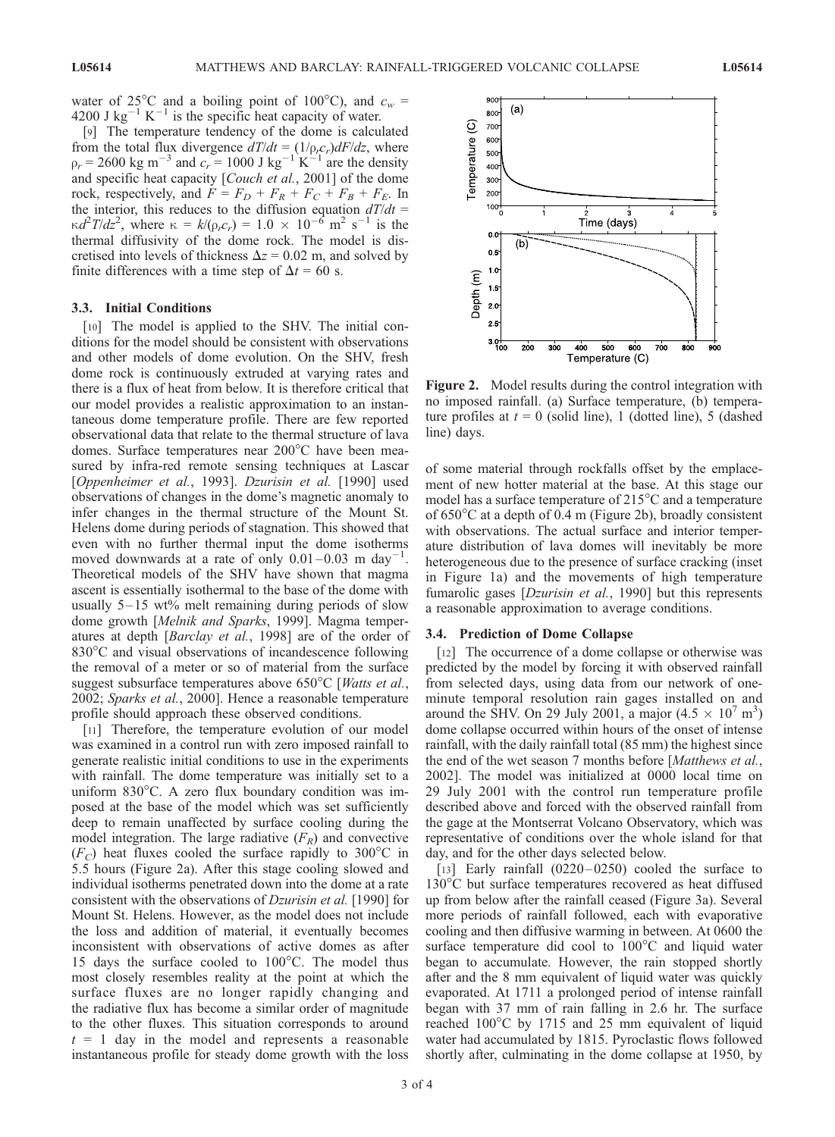water of 25°C and a boiling point of 100°C), and  $c_w$  = 4200 J kg<sup>-1</sup> K<sup>-1</sup> is the specific heat capacity of water.

[9] The temperature tendency of the dome is calculated from the total flux divergence  $dT/dt = (1/\rho_r c_r) dF/dz$ , where  $r_{\rm p} = 2600 \text{ kg m}^{-3}$  and  $c_{\rm r} = 1000 \text{ J kg}^{-1} \text{ K}^{-1}$  are the density and specific heat capacity [Couch et al., 2001] of the dome rock, respectively, and  $F = F_D + F_R + F_C + F_B + F_E$ . In the interior, this reduces to the diffusion equation  $dT/dt =$  $\kappa d^2 T/dz^2$ , where  $\kappa = k/(\rho_r c_r) = 1.0 \times 10^{-6}$  m<sup>2</sup> s<sup>-1</sup> is the thermal diffusivity of the dome rock. The model is discretised into levels of thickness  $\Delta z = 0.02$  m, and solved by finite differences with a time step of  $\Delta t = 60$  s.

#### 3.3. Initial Conditions

[10] The model is applied to the SHV. The initial conditions for the model should be consistent with observations and other models of dome evolution. On the SHV, fresh dome rock is continuously extruded at varying rates and there is a flux of heat from below. It is therefore critical that our model provides a realistic approximation to an instantaneous dome temperature profile. There are few reported observational data that relate to the thermal structure of lava domes. Surface temperatures near  $200^{\circ}$ C have been measured by infra-red remote sensing techniques at Lascar [Oppenheimer et al., 1993]. Dzurisin et al. [1990] used observations of changes in the dome's magnetic anomaly to infer changes in the thermal structure of the Mount St. Helens dome during periods of stagnation. This showed that even with no further thermal input the dome isotherms moved downwards at a rate of only  $0.01-0.03$  m day<sup>-1</sup> . Theoretical models of the SHV have shown that magma ascent is essentially isothermal to the base of the dome with usually  $5-15$  wt% melt remaining during periods of slow dome growth [Melnik and Sparks, 1999]. Magma temperatures at depth [Barclay et al., 1998] are of the order of 830°C and visual observations of incandescence following the removal of a meter or so of material from the surface suggest subsurface temperatures above  $650^{\circ}$ C [*Watts et al.*, 2002; Sparks et al., 2000]. Hence a reasonable temperature profile should approach these observed conditions.

[11] Therefore, the temperature evolution of our model was examined in a control run with zero imposed rainfall to generate realistic initial conditions to use in the experiments with rainfall. The dome temperature was initially set to a uniform  $830^{\circ}$ C. A zero flux boundary condition was imposed at the base of the model which was set sufficiently deep to remain unaffected by surface cooling during the model integration. The large radiative  $(F_R)$  and convective  $(F_C)$  heat fluxes cooled the surface rapidly to 300°C in 5.5 hours (Figure 2a). After this stage cooling slowed and individual isotherms penetrated down into the dome at a rate consistent with the observations of Dzurisin et al. [1990] for Mount St. Helens. However, as the model does not include the loss and addition of material, it eventually becomes inconsistent with observations of active domes as after 15 days the surface cooled to  $100^{\circ}$ C. The model thus most closely resembles reality at the point at which the surface fluxes are no longer rapidly changing and the radiative flux has become a similar order of magnitude to the other fluxes. This situation corresponds to around  $t = 1$  day in the model and represents a reasonable instantaneous profile for steady dome growth with the loss



Figure 2. Model results during the control integration with no imposed rainfall. (a) Surface temperature, (b) temperature profiles at  $t = 0$  (solid line), 1 (dotted line), 5 (dashed line) days.

of some material through rockfalls offset by the emplacement of new hotter material at the base. At this stage our model has a surface temperature of  $215^{\circ}$ C and a temperature of  $650^{\circ}$ C at a depth of 0.4 m (Figure 2b), broadly consistent with observations. The actual surface and interior temperature distribution of lava domes will inevitably be more heterogeneous due to the presence of surface cracking (inset in Figure 1a) and the movements of high temperature fumarolic gases [*Dzurisin et al.*, 1990] but this represents a reasonable approximation to average conditions.

#### 3.4. Prediction of Dome Collapse

[12] The occurrence of a dome collapse or otherwise was predicted by the model by forcing it with observed rainfall from selected days, using data from our network of oneminute temporal resolution rain gages installed on and around the SHV. On 29 July 2001, a major  $(4.5 \times 10^7 \text{ m}^3)$ dome collapse occurred within hours of the onset of intense rainfall, with the daily rainfall total (85 mm) the highest since the end of the wet season 7 months before [*Matthews et al.*, 2002]. The model was initialized at 0000 local time on 29 July 2001 with the control run temperature profile described above and forced with the observed rainfall from the gage at the Montserrat Volcano Observatory, which was representative of conditions over the whole island for that day, and for the other days selected below.

[13] Early rainfall  $(0220-0250)$  cooled the surface to 130°C but surface temperatures recovered as heat diffused up from below after the rainfall ceased (Figure 3a). Several more periods of rainfall followed, each with evaporative cooling and then diffusive warming in between. At 0600 the surface temperature did cool to  $100^{\circ}$ C and liquid water began to accumulate. However, the rain stopped shortly after and the 8 mm equivalent of liquid water was quickly evaporated. At 1711 a prolonged period of intense rainfall began with 37 mm of rain falling in 2.6 hr. The surface reached 100°C by 1715 and 25 mm equivalent of liquid water had accumulated by 1815. Pyroclastic flows followed shortly after, culminating in the dome collapse at 1950, by